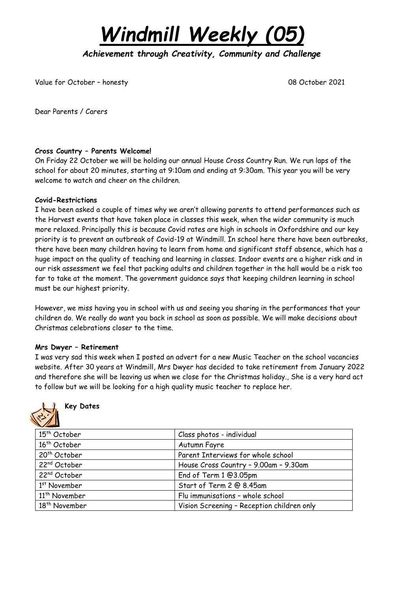*Windmill Weekly (05)*

*Achievement through Creativity, Community and Challenge* 

Value for October – honesty 08 October 2021

Dear Parents / Carers

#### **Cross Country – Parents Welcome!**

On Friday 22 October we will be holding our annual House Cross Country Run. We run laps of the school for about 20 minutes, starting at 9:10am and ending at 9:30am. This year you will be very welcome to watch and cheer on the children.

#### **Covid-Restrictions**

I have been asked a couple of times why we aren't allowing parents to attend performances such as the Harvest events that have taken place in classes this week, when the wider community is much more relaxed. Principally this is because Covid rates are high in schools in Oxfordshire and our key priority is to prevent an outbreak of Covid-19 at Windmill. In school here there have been outbreaks, there have been many children having to learn from home and significant staff absence, which has a huge impact on the quality of teaching and learning in classes. Indoor events are a higher risk and in our risk assessment we feel that packing adults and children together in the hall would be a risk too far to take at the moment. The government guidance says that keeping children learning in school must be our highest priority.

However, we miss having you in school with us and seeing you sharing in the performances that your children do. We really do want you back in school as soon as possible. We will make decisions about Christmas celebrations closer to the time.

#### **Mrs Dwyer – Retirement**

I was very sad this week when I posted an advert for a new Music Teacher on the school vacancies website. After 30 years at Windmill, Mrs Dwyer has decided to take retirement from January 2022 and therefore she will be leaving us when we close for the Christmas holiday., She is a very hard act to follow but we will be looking for a high quality music teacher to replace her.



# **Key Dates**

| 15 <sup>th</sup> October  | Class photos - individual                  |  |  |
|---------------------------|--------------------------------------------|--|--|
| 16 <sup>th</sup> October  | Autumn Fayre                               |  |  |
| 20 <sup>th</sup> October  | Parent Interviews for whole school         |  |  |
| 22 <sup>nd</sup> October  | House Cross Country - 9.00am - 9.30am      |  |  |
| 22 <sup>nd</sup> October  | End of Term 1 @3.05pm                      |  |  |
| 1 <sup>st</sup> November  | Start of Term 2 @ 8.45am                   |  |  |
| 11 <sup>th</sup> November | Flu immunisations - whole school           |  |  |
| 18 <sup>th</sup> November | Vision Screening - Reception children only |  |  |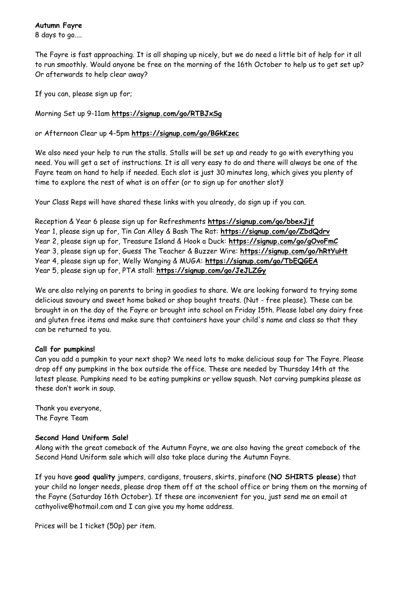8 days to go....

The Fayre is fast approaching. It is all shaping up nicely, but we do need a little bit of help for it all to run smoothly. Would anyone be free on the morning of the 16th October to help us to get set up? Or afterwards to help clear away?

If you can, please sign up for;

Morning Set up 9-11am **<https://signup.com/go/RTBJxSg>**

or Afternoon Clear up 4-5pm **[https://signup.com/go/BGkKzec](https://signup.com/go/BGkKzec%3C/span%3E)**

We also need your help to run the stalls. Stalls will be set up and ready to go with everything you need. You will get a set of instructions. It is all very easy to do and there will always be one of the Fayre team on hand to help if needed. Each slot is just 30 minutes long, which gives you plenty of time to explore the rest of what is on offer (or to sign up for another slot)!

Your Class Reps will have shared these links with you already, do sign up if you can.

Reception & Year 6 please sign up for Refreshments **<https://signup.com/go/bbexJjf>** Year 1, please sign up for, Tin Can Alley & Bash The Rat: **<https://signup.com/go/ZbdQdrv>** Year 2, please sign up for, Treasure Island & Hook a Duck: **<https://signup.com/go/gOvoFmC>** Year 3, please sign up for, Guess The Teacher & Buzzer Wire: **<https://signup.com/go/hRtYuHt>** Year 4, please sign up for, Welly Wanging & MUGA: **<https://signup.com/go/TbEQGEA>** Year 5, please sign up for, PTA stall: **<https://signup.com/go/JeJLZGy>**

We are also relying on parents to bring in goodies to share. We are looking forward to trying some delicious savoury and sweet home baked or shop bought treats. (Nut - free please). These can be brought in on the day of the Fayre or brought into school on Friday 15th. Please label any dairy free and gluten free items and make sure that containers have your child's name and class so that they can be returned to you.

## **Call for pumpkins!**

Can you add a pumpkin to your next shop? We need lots to make delicious soup for The Fayre. Please drop off any pumpkins in the box outside the office. These are needed by Thursday 14th at the latest please. Pumpkins need to be eating pumpkins or yellow squash. Not carving pumpkins please as these don't work in soup.

Thank you everyone, The Fayre Team

# **Second Hand Uniform Sale!**

Along with the great comeback of the Autumn Fayre, we are also having the great comeback of the Second Hand Uniform sale which will also take place during the Autumn Fayre.

If you have **good quality** jumpers, cardigans, trousers, skirts, pinafore (**NO SHIRTS please**) that your child no longer needs, please drop them off at the school office or bring them on the morning of the Fayre (Saturday 16th October). If these are inconvenient for you, just send me an email at cathyolive@hotmail.com and I can give you my home address.

Prices will be 1 ticket (50p) per item.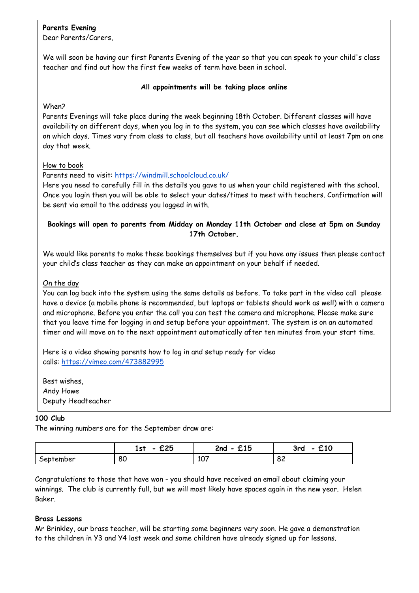# **Parents Evening**

Dear Parents/Carers,

We will soon be having our first Parents Evening of the year so that you can speak to your child's class teacher and find out how the first few weeks of term have been in school.

#### **All appointments will be taking place online**

## When?

Parents Evenings will take place during the week beginning 18th October. Different classes will have availability on different days, when you log in to the system, you can see which classes have availability on which days. Times vary from class to class, but all teachers have availability until at least 7pm on one day that week.

#### How to book

Parents need to visit: <https://windmill.schoolcloud.co.uk/>

Here you need to carefully fill in the details you gave to us when your child registered with the school. Once you login then you will be able to select your dates/times to meet with teachers. Confirmation will be sent via email to the address you logged in with.

# **Bookings will open to parents from Midday on Monday 11th October and close at 5pm on Sunday 17th October.**

We would like parents to make these bookings themselves but if you have any issues then please contact your child's class teacher as they can make an appointment on your behalf if needed.

## On the day

You can log back into the system using the same details as before. To take part in the video call please have a device (a mobile phone is recommended, but laptops or tablets should work as well) with a camera and microphone. Before you enter the call you can test the camera and microphone. Please make sure that you leave time for logging in and setup before your appointment. The system is on an automated timer and will move on to the next appointment automatically after ten minutes from your start time.

Here is a video showing parents how to log in and setup ready for video calls: <https://vimeo.com/473882995>

Best wishes, Andy Howe Deputy Headteacher

#### **100 Club**

The winning numbers are for the September draw are:

|           | ヂクド<br>1st<br>~~~ | <b>C</b> 4 E<br>2nd<br><b>LIJ</b><br>- | .<br>3rd<br>んぴ |
|-----------|-------------------|----------------------------------------|----------------|
| September | 80                | 107<br>107                             | o o<br>04      |

Congratulations to those that have won - you should have received an email about claiming your winnings. The club is currently full, but we will most likely have spaces again in the new year. Helen Baker.

## **Brass Lessons**

Mr Brinkley, our brass teacher, will be starting some beginners very soon. He gave a demonstration to the children in Y3 and Y4 last week and some children have already signed up for lessons.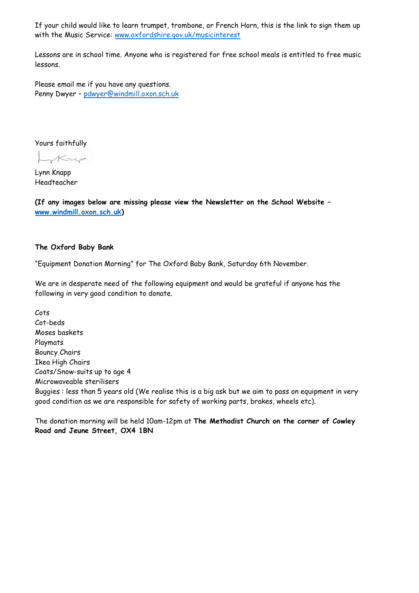If your child would like to learn trumpet, trombone, or French Horn, this is the link to sign them up with the Music Service: [www.oxfordshire.gov.uk/musicinterest](http://www.oxfordshire.gov.uk/musicinterest)

Lessons are in school time. Anyone who is registered for free school meals is entitled to free music lessons.

Please email me if you have any questions. Penny Dwyer – [pdwyer@windmill.oxon.sch.uk](mailto:pdwyer@windmill.oxon.sch.uk)

Yours faithfully

Krep

Lynn Knapp Headteacher

**(If any images below are missing please view the Newsletter on the School Website – [www.windmill.oxon.sch.uk\)](http://www.windmill.oxon.sch.uk/)**

## **The Oxford Baby Bank**

"Equipment Donation Morning" for The Oxford Baby Bank, Saturday 6th November.

We are in desperate need of the following equipment and would be grateful if anyone has the following in very good condition to donate.

Cots Cot-beds Moses baskets Playmats Bouncy Chairs Ikea High Chairs Coats/Snow-suits up to age 4 Microwaveable sterilisers Buggies : less than 5 years old (We realise this is a big ask but we aim to pass on equipment in very good condition as we are responsible for safety of working parts, brakes, wheels etc).

The donation morning will be held 10am-12pm at **The Methodist Church on the corner of Cowley Road and Jeune Street, OX4 1BN**